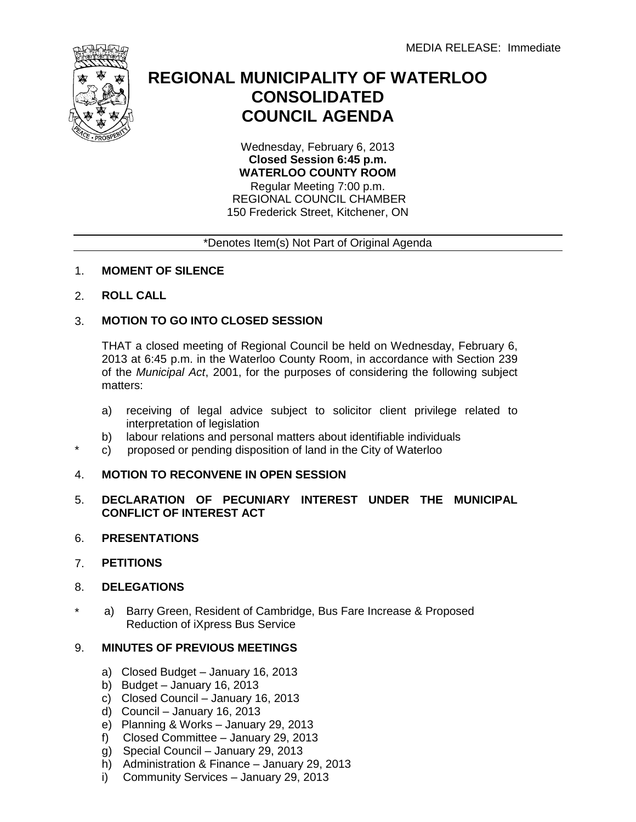

# **REGIONAL MUNICIPALITY OF WATERLOO CONSOLIDATED COUNCIL AGENDA**

Wednesday, February 6, 2013 **Closed Session 6:45 p.m. WATERLOO COUNTY ROOM** Regular Meeting 7:00 p.m.

REGIONAL COUNCIL CHAMBER 150 Frederick Street, Kitchener, ON

### \*Denotes Item(s) Not Part of Original Agenda

### 1. **MOMENT OF SILENCE**

### 2. **ROLL CALL**

#### 3. **MOTION TO GO INTO CLOSED SESSION**

THAT a closed meeting of Regional Council be held on Wednesday, February 6, 2013 at 6:45 p.m. in the Waterloo County Room, in accordance with Section 239 of the *Municipal Act*, 2001, for the purposes of considering the following subject matters:

- a) receiving of legal advice subject to solicitor client privilege related to interpretation of legislation
- b) labour relations and personal matters about identifiable individuals
- c) proposed or pending disposition of land in the City of Waterloo

## 4. **MOTION TO RECONVENE IN OPEN SESSION**

- 5. **DECLARATION OF PECUNIARY INTEREST UNDER THE MUNICIPAL CONFLICT OF INTEREST ACT**
- 6. **PRESENTATIONS**
- 7. **PETITIONS**

\*

- 8. **DELEGATIONS**
- \* a) Barry Green, Resident of Cambridge, Bus Fare Increase & Proposed Reduction of iXpress Bus Service

## 9. **MINUTES OF PREVIOUS MEETINGS**

- a) Closed Budget January 16, 2013
- b) Budget January 16, 2013
- c) Closed Council January 16, 2013
- d) Council January 16, 2013
- e) Planning & Works January 29, 2013
- f) Closed Committee January 29, 2013
- g) Special Council January 29, 2013
- h) Administration & Finance January 29, 2013
- i) Community Services January 29, 2013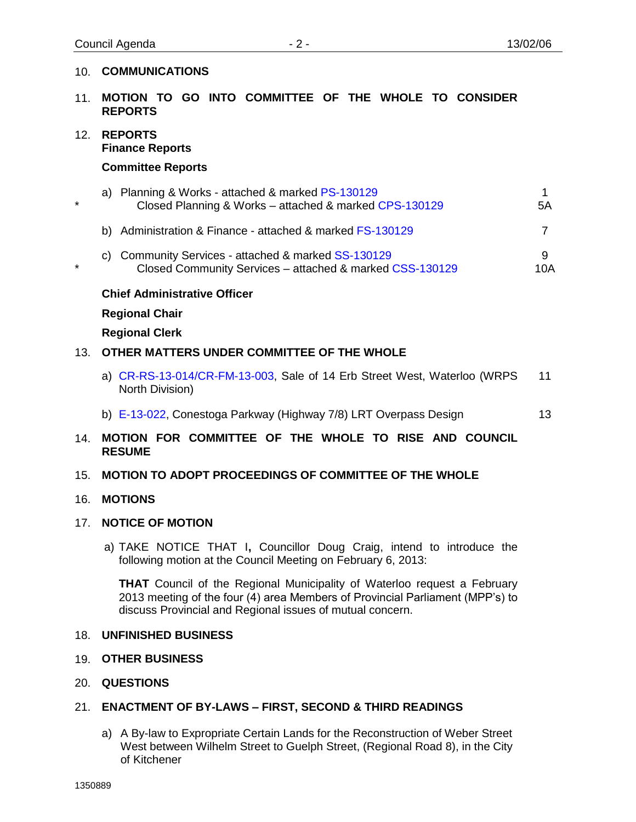### 10. **COMMUNICATIONS**

- 11. **MOTION TO GO INTO COMMITTEE OF THE WHOLE TO CONSIDER REPORTS**
- 12. **REPORTS Finance Reports**

#### **Committee Reports**

|  | a) Planning & Works - attached & marked PS-130129<br>Closed Planning & Works – attached & marked CPS-130129 | 5A |
|--|-------------------------------------------------------------------------------------------------------------|----|
|  | b) Administration & Finance - attached & marked FS-130129                                                   |    |

\* c) Community Services - attached & marke[d SS-130129](#page-10-0) Closed Community Services – attached & marked [CSS-130129](#page-12-0) 9 10A

### **Chief Administrative Officer**

#### **Regional Chair**

### **Regional Clerk**

### 13. **OTHER MATTERS UNDER COMMITTEE OF THE WHOLE**

- a) [CR-RS-13-014/CR-FM-13-003,](#page-13-0) Sale of 14 Erb Street West, Waterloo (WRPS North Division) 11
- b) [E-13-022, C](#page-15-0)onestoga Parkway (Highway 7/8) LRT Overpass Design 13

### 14. **MOTION FOR COMMITTEE OF THE WHOLE TO RISE AND COUNCIL RESUME**

### 15. **MOTION TO ADOPT PROCEEDINGS OF COMMITTEE OF THE WHOLE**

### 16. **MOTIONS**

#### 17. **NOTICE OF MOTION**

a) TAKE NOTICE THAT I**,** [Councillor](http://www.region.waterloo.on.ca/web/region.nsf/8ef02c0fded0c82a85256e590071a3ce/EEEB910B85A466D8852570690049D148/$file/memo.pdf?openelement) Doug Craig, intend to introduce the following motion at the Council Meeting on February 6, 2013:

**THAT** Council of the Regional Municipality of Waterloo request a February 2013 meeting of the four (4) area Members of Provincial Parliament (MPP's) to discuss Provincial and Regional issues of mutual concern.

#### 18. **UNFINISHED BUSINESS**

- 19. **OTHER BUSINESS**
- 20. **QUESTIONS**

### 21. **ENACTMENT OF BY-LAWS – FIRST, SECOND & THIRD READINGS**

a) A By-law to Expropriate Certain Lands for the Reconstruction of Weber Street West between Wilhelm Street to Guelph Street, (Regional Road 8), in the City of Kitchener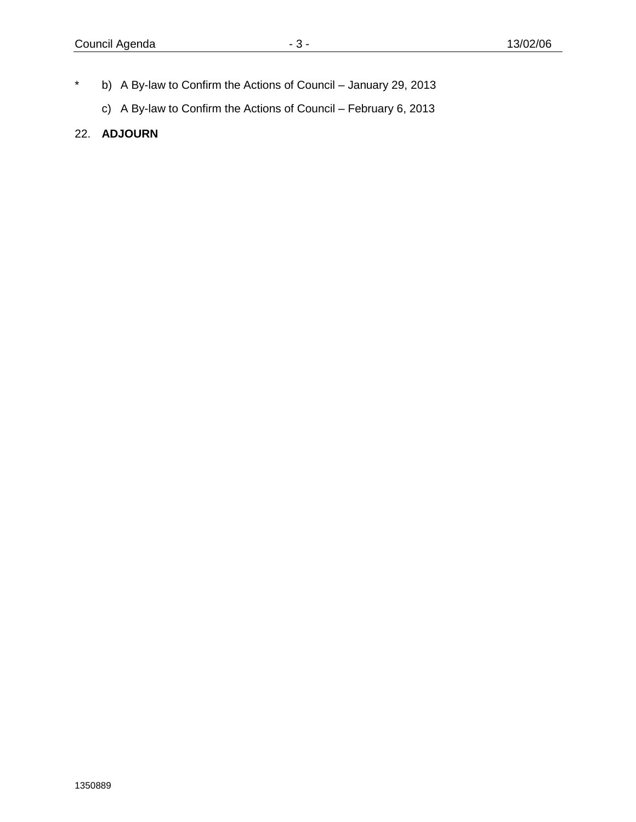- \* b) A By-law to Confirm the Actions of Council January 29, 2013
	- c) A By-law to Confirm the Actions of Council February 6, 2013
- 22. **ADJOURN**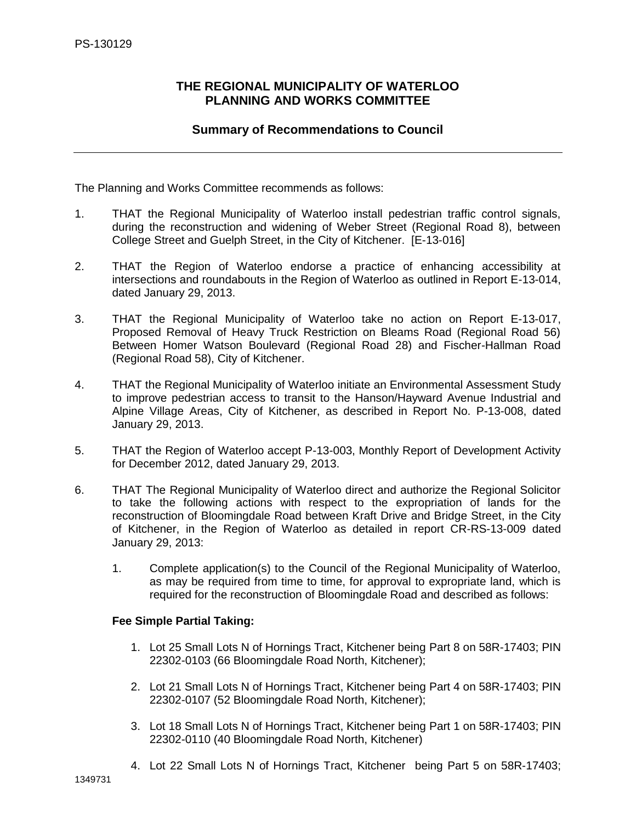### <span id="page-3-0"></span>**THE REGIONAL MUNICIPALITY OF WATERLOO PLANNING AND WORKS COMMITTEE**

### **Summary of Recommendations to Council**

The Planning and Works Committee recommends as follows:

- 1. THAT the Regional Municipality of Waterloo install pedestrian traffic control signals, during the reconstruction and widening of Weber Street (Regional Road 8), between College Street and Guelph Street, in the City of Kitchener. [E-13-016]
- 2. THAT the Region of Waterloo endorse a practice of enhancing accessibility at intersections and roundabouts in the Region of Waterloo as outlined in Report E-13-014, dated January 29, 2013.
- 3. THAT the Regional Municipality of Waterloo take no action on Report E-13-017, Proposed Removal of Heavy Truck Restriction on Bleams Road (Regional Road 56) Between Homer Watson Boulevard (Regional Road 28) and Fischer-Hallman Road (Regional Road 58), City of Kitchener.
- 4. THAT the Regional Municipality of Waterloo initiate an Environmental Assessment Study to improve pedestrian access to transit to the Hanson/Hayward Avenue Industrial and Alpine Village Areas, City of Kitchener, as described in Report No. P-13-008, dated January 29, 2013.
- 5. THAT the Region of Waterloo accept P-13-003, Monthly Report of Development Activity for December 2012, dated January 29, 2013.
- 6. THAT The Regional Municipality of Waterloo direct and authorize the Regional Solicitor to take the following actions with respect to the expropriation of lands for the reconstruction of Bloomingdale Road between Kraft Drive and Bridge Street, in the City of Kitchener, in the Region of Waterloo as detailed in report CR-RS-13-009 dated January 29, 2013:
	- 1. Complete application(s) to the Council of the Regional Municipality of Waterloo, as may be required from time to time, for approval to expropriate land, which is required for the reconstruction of Bloomingdale Road and described as follows:

#### **Fee Simple Partial Taking:**

- 1. Lot 25 Small Lots N of Hornings Tract, Kitchener being Part 8 on 58R-17403; PIN 22302-0103 (66 Bloomingdale Road North, Kitchener);
- 2. Lot 21 Small Lots N of Hornings Tract, Kitchener being Part 4 on 58R-17403; PIN 22302-0107 (52 Bloomingdale Road North, Kitchener);
- 3. Lot 18 Small Lots N of Hornings Tract, Kitchener being Part 1 on 58R-17403; PIN 22302-0110 (40 Bloomingdale Road North, Kitchener)
- 4. Lot 22 Small Lots N of Hornings Tract, Kitchener being Part 5 on 58R-17403;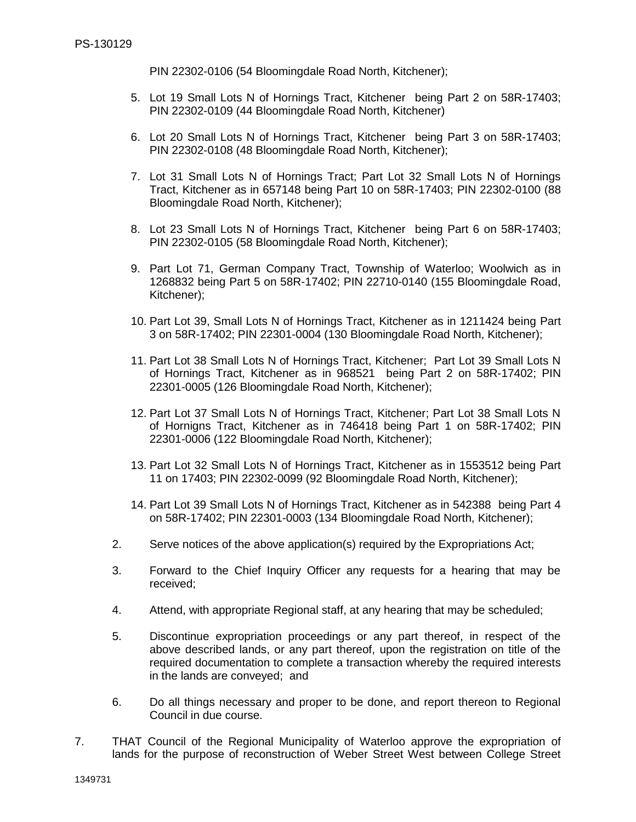PIN 22302-0106 (54 Bloomingdale Road North, Kitchener);

- 5. Lot 19 Small Lots N of Hornings Tract, Kitchenerbeing Part 2 on 58R-17403; PIN 22302-0109 (44 Bloomingdale Road North, Kitchener)
- 6. Lot 20 Small Lots N of Hornings Tract, Kitchenerbeing Part 3 on 58R-17403; PIN 22302-0108 (48 Bloomingdale Road North, Kitchener);
- 7. Lot 31 Small Lots N of Hornings Tract; Part Lot 32 Small Lots N of Hornings Tract, Kitchener as in 657148 being Part 10 on 58R-17403; PIN 22302-0100 (88 Bloomingdale Road North, Kitchener);
- 8. Lot 23 Small Lots N of Hornings Tract, Kitchenerbeing Part 6 on 58R-17403; PIN 22302-0105 (58 Bloomingdale Road North, Kitchener);
- 9. Part Lot 71, German Company Tract, Township of Waterloo; Woolwich as in 1268832 being Part 5 on 58R-17402; PIN 22710-0140 (155 Bloomingdale Road, Kitchener);
- 10. Part Lot 39, Small Lots N of Hornings Tract, Kitchener as in 1211424 being Part 3 on 58R-17402; PIN 22301-0004 (130 Bloomingdale Road North, Kitchener);
- 11. Part Lot 38 Small Lots N of Hornings Tract, Kitchener; Part Lot 39 Small Lots N of Hornings Tract, Kitchener as in 968521being Part 2 on 58R-17402; PIN 22301-0005 (126 Bloomingdale Road North, Kitchener);
- 12. Part Lot 37 Small Lots N of Hornings Tract, Kitchener; Part Lot 38 Small Lots N of Hornigns Tract, Kitchener as in 746418 being Part 1 on 58R-17402; PIN 22301-0006 (122 Bloomingdale Road North, Kitchener);
- 13. Part Lot 32 Small Lots N of Hornings Tract, Kitchener as in 1553512 being Part 11 on 17403; PIN 22302-0099 (92 Bloomingdale Road North, Kitchener);
- 14. Part Lot 39 Small Lots N of Hornings Tract, Kitchener as in 542388being Part 4 on 58R-17402; PIN 22301-0003 (134 Bloomingdale Road North, Kitchener);
- 2. Serve notices of the above application(s) required by the Expropriations Act;
- 3. Forward to the Chief Inquiry Officer any requests for a hearing that may be received;
- 4. Attend, with appropriate Regional staff, at any hearing that may be scheduled;
- 5. Discontinue expropriation proceedings or any part thereof, in respect of the above described lands, or any part thereof, upon the registration on title of the required documentation to complete a transaction whereby the required interests in the lands are conveyed; and
- 6. Do all things necessary and proper to be done, and report thereon to Regional Council in due course.
- 7. THAT Council of the Regional Municipality of Waterloo approve the expropriation of lands for the purpose of reconstruction of Weber Street West between College Street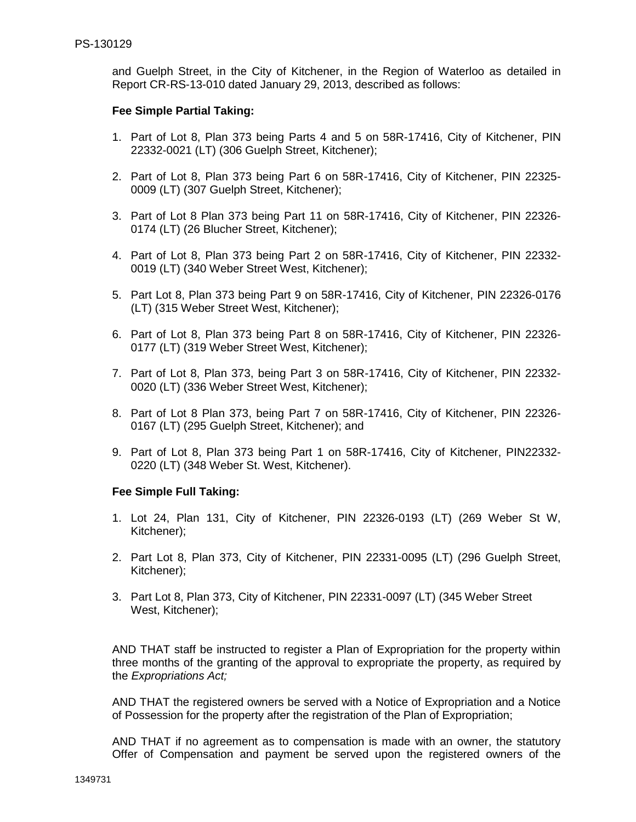and Guelph Street, in the City of Kitchener, in the Region of Waterloo as detailed in Report CR-RS-13-010 dated January 29, 2013, described as follows:

#### **Fee Simple Partial Taking:**

- 1. Part of Lot 8, Plan 373 being Parts 4 and 5 on 58R-17416, City of Kitchener, PIN 22332-0021 (LT) (306 Guelph Street, Kitchener);
- 2. Part of Lot 8, Plan 373 being Part 6 on 58R-17416, City of Kitchener, PIN 22325- 0009 (LT) (307 Guelph Street, Kitchener);
- 3. Part of Lot 8 Plan 373 being Part 11 on 58R-17416, City of Kitchener, PIN 22326- 0174 (LT) (26 Blucher Street, Kitchener);
- 4. Part of Lot 8, Plan 373 being Part 2 on 58R-17416, City of Kitchener, PIN 22332- 0019 (LT) (340 Weber Street West, Kitchener);
- 5. Part Lot 8, Plan 373 being Part 9 on 58R-17416, City of Kitchener, PIN 22326-0176 (LT) (315 Weber Street West, Kitchener);
- 6. Part of Lot 8, Plan 373 being Part 8 on 58R-17416, City of Kitchener, PIN 22326- 0177 (LT) (319 Weber Street West, Kitchener);
- 7. Part of Lot 8, Plan 373, being Part 3 on 58R-17416, City of Kitchener, PIN 22332- 0020 (LT) (336 Weber Street West, Kitchener);
- 8. Part of Lot 8 Plan 373, being Part 7 on 58R-17416, City of Kitchener, PIN 22326- 0167 (LT) (295 Guelph Street, Kitchener); and
- 9. Part of Lot 8, Plan 373 being Part 1 on 58R-17416, City of Kitchener, PIN22332- 0220 (LT) (348 Weber St. West, Kitchener).

#### **Fee Simple Full Taking:**

- 1. Lot 24, Plan 131, City of Kitchener, PIN 22326-0193 (LT) (269 Weber St W, Kitchener);
- 2. Part Lot 8, Plan 373, City of Kitchener, PIN 22331-0095 (LT) (296 Guelph Street, Kitchener);
- 3. Part Lot 8, Plan 373, City of Kitchener, PIN 22331-0097 (LT) (345 Weber Street West, Kitchener);

AND THAT staff be instructed to register a Plan of Expropriation for the property within three months of the granting of the approval to expropriate the property, as required by the *Expropriations Act;*

AND THAT the registered owners be served with a Notice of Expropriation and a Notice of Possession for the property after the registration of the Plan of Expropriation;

AND THAT if no agreement as to compensation is made with an owner, the statutory Offer of Compensation and payment be served upon the registered owners of the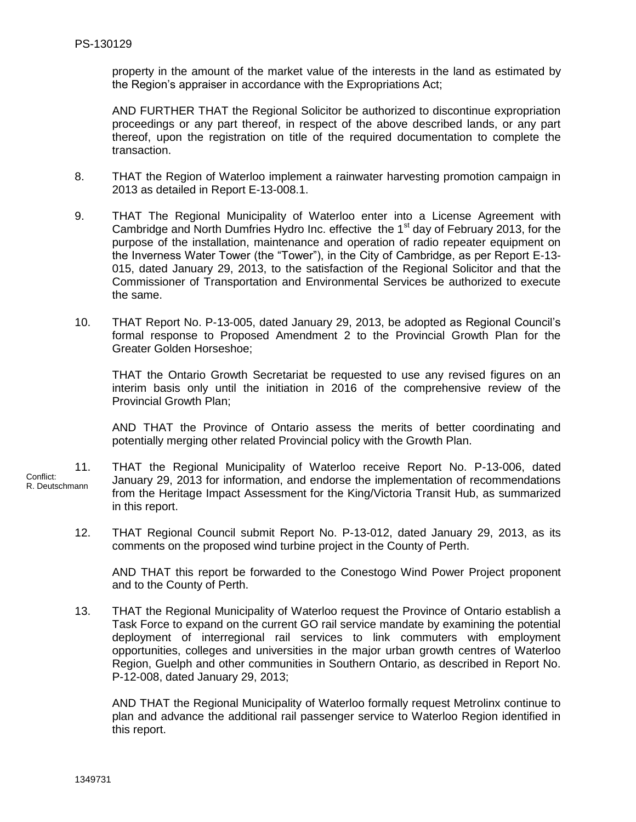property in the amount of the market value of the interests in the land as estimated by the Region's appraiser in accordance with the Expropriations Act;

AND FURTHER THAT the Regional Solicitor be authorized to discontinue expropriation proceedings or any part thereof, in respect of the above described lands, or any part thereof, upon the registration on title of the required documentation to complete the transaction.

- 8. THAT the Region of Waterloo implement a rainwater harvesting promotion campaign in 2013 as detailed in Report E-13-008.1.
- 9. THAT The Regional Municipality of Waterloo enter into a License Agreement with Cambridge and North Dumfries Hydro Inc. effective the 1<sup>st</sup> day of February 2013, for the purpose of the installation, maintenance and operation of radio repeater equipment on the Inverness Water Tower (the "Tower"), in the City of Cambridge, as per Report E-13- 015, dated January 29, 2013, to the satisfaction of the Regional Solicitor and that the Commissioner of Transportation and Environmental Services be authorized to execute the same.
- 10. THAT Report No. P-13-005, dated January 29, 2013, be adopted as Regional Council's formal response to Proposed Amendment 2 to the Provincial Growth Plan for the Greater Golden Horseshoe;

THAT the Ontario Growth Secretariat be requested to use any revised figures on an interim basis only until the initiation in 2016 of the comprehensive review of the Provincial Growth Plan;

AND THAT the Province of Ontario assess the merits of better coordinating and potentially merging other related Provincial policy with the Growth Plan.

11. THAT the Regional Municipality of Waterloo receive Report No. P-13-006, dated January 29, 2013 for information, and endorse the implementation of recommendations from the Heritage Impact Assessment for the King/Victoria Transit Hub, as summarized in this report. Conflict: R. Deutschmann

12. THAT Regional Council submit Report No. P-13-012, dated January 29, 2013, as its comments on the proposed wind turbine project in the County of Perth.

AND THAT this report be forwarded to the Conestogo Wind Power Project proponent and to the County of Perth.

13. THAT the Regional Municipality of Waterloo request the Province of Ontario establish a Task Force to expand on the current GO rail service mandate by examining the potential deployment of interregional rail services to link commuters with employment opportunities, colleges and universities in the major urban growth centres of Waterloo Region, Guelph and other communities in Southern Ontario, as described in Report No. P-12-008, dated January 29, 2013;

AND THAT the Regional Municipality of Waterloo formally request Metrolinx continue to plan and advance the additional rail passenger service to Waterloo Region identified in this report.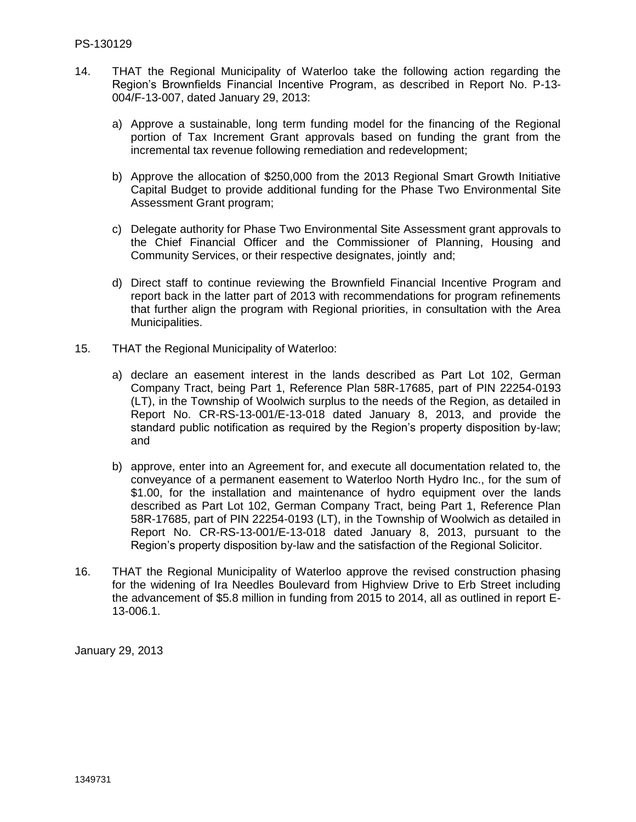- 14. THAT the Regional Municipality of Waterloo take the following action regarding the Region's Brownfields Financial Incentive Program, as described in Report No. P-13- 004/F-13-007, dated January 29, 2013:
	- a) Approve a sustainable, long term funding model for the financing of the Regional portion of Tax Increment Grant approvals based on funding the grant from the incremental tax revenue following remediation and redevelopment;
	- b) Approve the allocation of \$250,000 from the 2013 Regional Smart Growth Initiative Capital Budget to provide additional funding for the Phase Two Environmental Site Assessment Grant program;
	- c) Delegate authority for Phase Two Environmental Site Assessment grant approvals to the Chief Financial Officer and the Commissioner of Planning, Housing and Community Services, or their respective designates, jointly and;
	- d) Direct staff to continue reviewing the Brownfield Financial Incentive Program and report back in the latter part of 2013 with recommendations for program refinements that further align the program with Regional priorities, in consultation with the Area Municipalities.
- 15. THAT the Regional Municipality of Waterloo:
	- a) declare an easement interest in the lands described as Part Lot 102, German Company Tract, being Part 1, Reference Plan 58R-17685, part of PIN 22254-0193 (LT), in the Township of Woolwich surplus to the needs of the Region, as detailed in Report No. CR-RS-13-001/E-13-018 dated January 8, 2013, and provide the standard public notification as required by the Region's property disposition by-law; and
	- b) approve, enter into an Agreement for, and execute all documentation related to, the conveyance of a permanent easement to Waterloo North Hydro Inc., for the sum of \$1.00, for the installation and maintenance of hydro equipment over the lands described as Part Lot 102, German Company Tract, being Part 1, Reference Plan 58R-17685, part of PIN 22254-0193 (LT), in the Township of Woolwich as detailed in Report No. CR-RS-13-001/E-13-018 dated January 8, 2013, pursuant to the Region's property disposition by-law and the satisfaction of the Regional Solicitor.
- 16. THAT the Regional Municipality of Waterloo approve the revised construction phasing for the widening of Ira Needles Boulevard from Highview Drive to Erb Street including the advancement of \$5.8 million in funding from 2015 to 2014, all as outlined in report E-13-006.1.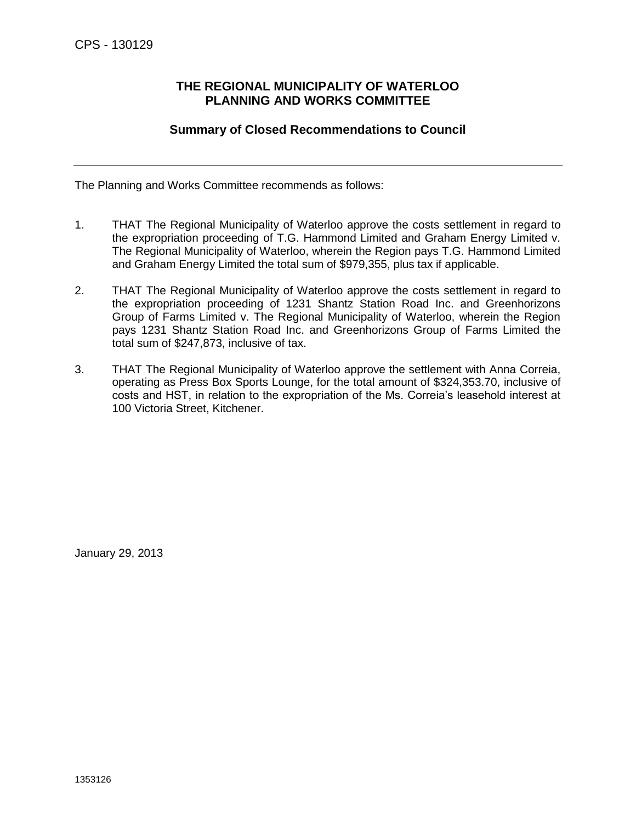### <span id="page-8-0"></span>**THE REGIONAL MUNICIPALITY OF WATERLOO PLANNING AND WORKS COMMITTEE**

### **Summary of Closed Recommendations to Council**

The Planning and Works Committee recommends as follows:

- 1. THAT The Regional Municipality of Waterloo approve the costs settlement in regard to the expropriation proceeding of T.G. Hammond Limited and Graham Energy Limited v. The Regional Municipality of Waterloo, wherein the Region pays T.G. Hammond Limited and Graham Energy Limited the total sum of \$979,355, plus tax if applicable.
- 2. THAT The Regional Municipality of Waterloo approve the costs settlement in regard to the expropriation proceeding of 1231 Shantz Station Road Inc. and Greenhorizons Group of Farms Limited v. The Regional Municipality of Waterloo, wherein the Region pays 1231 Shantz Station Road Inc. and Greenhorizons Group of Farms Limited the total sum of \$247,873, inclusive of tax.
- 3. THAT The Regional Municipality of Waterloo approve the settlement with Anna Correia, operating as Press Box Sports Lounge, for the total amount of \$324,353.70, inclusive of costs and HST, in relation to the expropriation of the Ms. Correia's leasehold interest at 100 Victoria Street, Kitchener.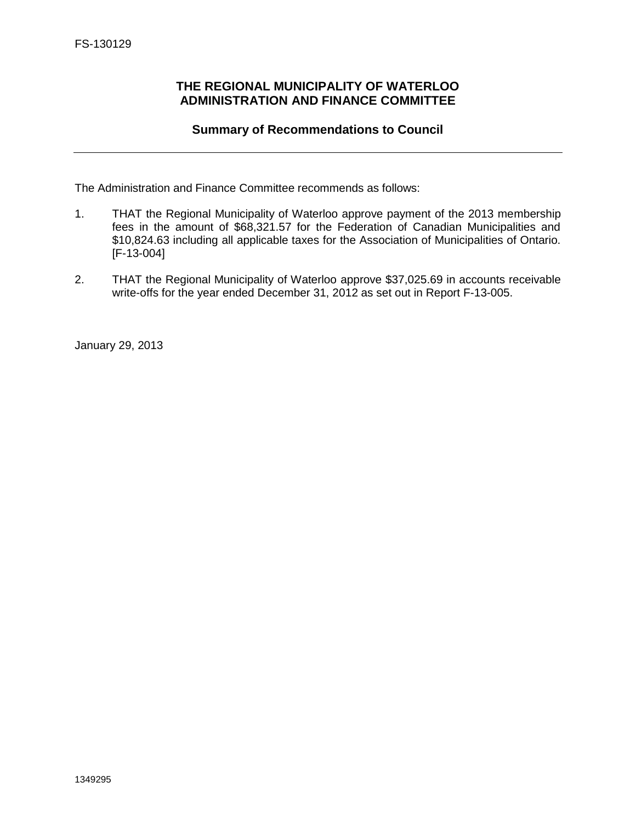### <span id="page-9-0"></span>**THE REGIONAL MUNICIPALITY OF WATERLOO ADMINISTRATION AND FINANCE COMMITTEE**

### **Summary of Recommendations to Council**

The Administration and Finance Committee recommends as follows:

- 1. THAT the Regional Municipality of Waterloo approve payment of the 2013 membership fees in the amount of \$68,321.57 for the Federation of Canadian Municipalities and \$10,824.63 including all applicable taxes for the Association of Municipalities of Ontario. [F-13-004]
- 2. THAT the Regional Municipality of Waterloo approve \$37,025.69 in accounts receivable write-offs for the year ended December 31, 2012 as set out in Report F-13-005.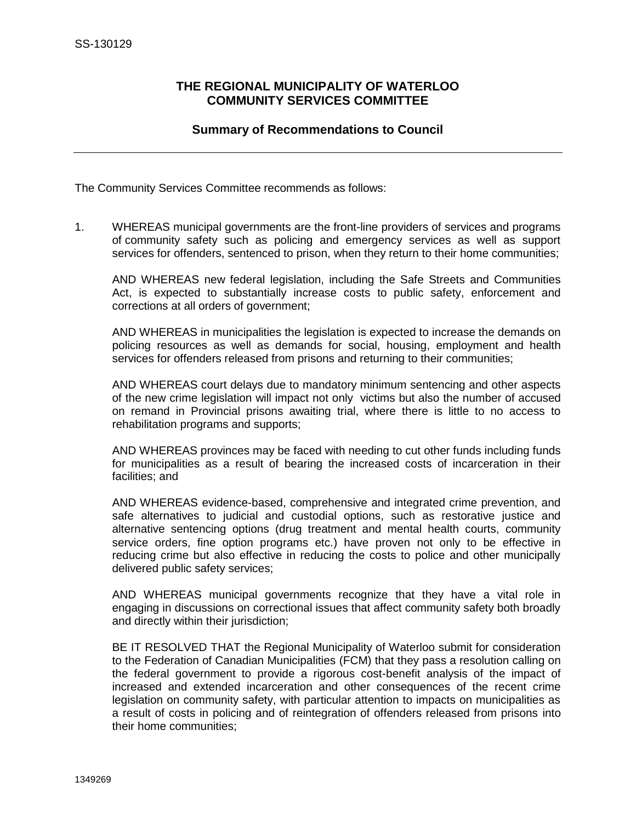### <span id="page-10-0"></span>**THE REGIONAL MUNICIPALITY OF WATERLOO COMMUNITY SERVICES COMMITTEE**

### **Summary of Recommendations to Council**

The Community Services Committee recommends as follows:

1. WHEREAS municipal governments are the front-line providers of services and programs of community safety such as policing and emergency services as well as support services for offenders, sentenced to prison, when they return to their home communities;

AND WHEREAS new federal legislation, including the Safe Streets and Communities Act, is expected to substantially increase costs to public safety, enforcement and corrections at all orders of government;

AND WHEREAS in municipalities the legislation is expected to increase the demands on policing resources as well as demands for social, housing, employment and health services for offenders released from prisons and returning to their communities;

AND WHEREAS court delays due to mandatory minimum sentencing and other aspects of the new crime legislation will impact not only victims but also the number of accused on remand in Provincial prisons awaiting trial, where there is little to no access to rehabilitation programs and supports;

AND WHEREAS provinces may be faced with needing to cut other funds including funds for municipalities as a result of bearing the increased costs of incarceration in their facilities; and

AND WHEREAS evidence-based, comprehensive and integrated crime prevention, and safe alternatives to judicial and custodial options, such as restorative justice and alternative sentencing options (drug treatment and mental health courts, community service orders, fine option programs etc.) have proven not only to be effective in reducing crime but also effective in reducing the costs to police and other municipally delivered public safety services;

AND WHEREAS municipal governments recognize that they have a vital role in engaging in discussions on correctional issues that affect community safety both broadly and directly within their jurisdiction;

BE IT RESOLVED THAT the Regional Municipality of Waterloo submit for consideration to the Federation of Canadian Municipalities (FCM) that they pass a resolution calling on the federal government to provide a rigorous cost-benefit analysis of the impact of increased and extended incarceration and other consequences of the recent crime legislation on community safety, with particular attention to impacts on municipalities as a result of costs in policing and of reintegration of offenders released from prisons into their home communities;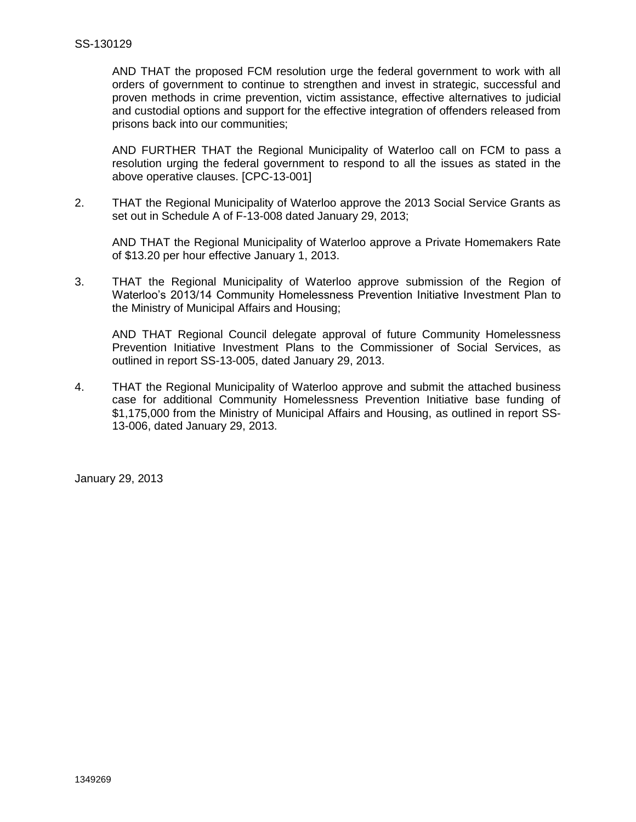AND THAT the proposed FCM resolution urge the federal government to work with all orders of government to continue to strengthen and invest in strategic, successful and proven methods in crime prevention, victim assistance, effective alternatives to judicial and custodial options and support for the effective integration of offenders released from prisons back into our communities;

AND FURTHER THAT the Regional Municipality of Waterloo call on FCM to pass a resolution urging the federal government to respond to all the issues as stated in the above operative clauses. [CPC-13-001]

2. THAT the Regional Municipality of Waterloo approve the 2013 Social Service Grants as set out in Schedule A of F-13-008 dated January 29, 2013;

AND THAT the Regional Municipality of Waterloo approve a Private Homemakers Rate of \$13.20 per hour effective January 1, 2013.

3. THAT the Regional Municipality of Waterloo approve submission of the Region of Waterloo's 2013/14 Community Homelessness Prevention Initiative Investment Plan to the Ministry of Municipal Affairs and Housing;

AND THAT Regional Council delegate approval of future Community Homelessness Prevention Initiative Investment Plans to the Commissioner of Social Services, as outlined in report SS-13-005, dated January 29, 2013.

4. THAT the Regional Municipality of Waterloo approve and submit the attached business case for additional Community Homelessness Prevention Initiative base funding of \$1,175,000 from the Ministry of Municipal Affairs and Housing, as outlined in report SS-13-006, dated January 29, 2013.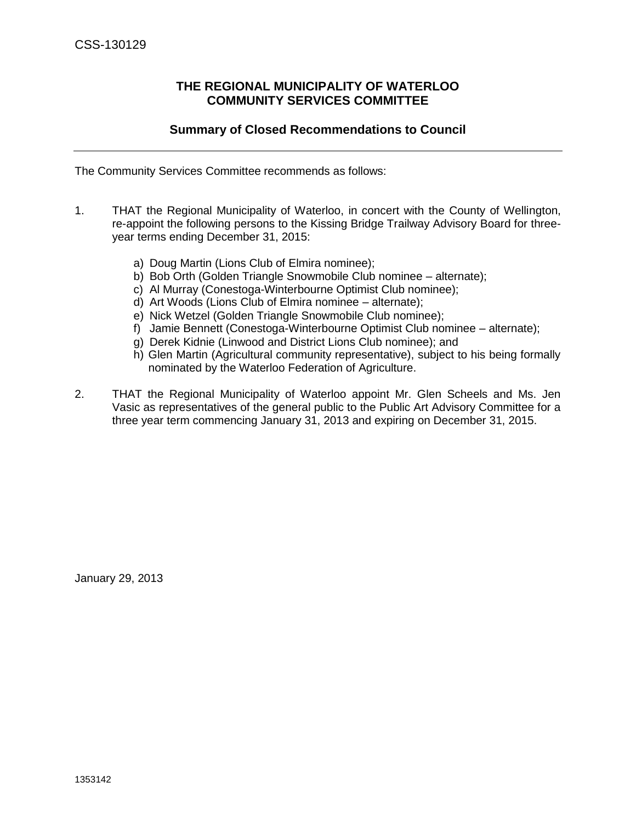### **THE REGIONAL MUNICIPALITY OF WATERLOO COMMUNITY SERVICES COMMITTEE**

### **Summary of Closed Recommendations to Council**

<span id="page-12-0"></span>The Community Services Committee recommends as follows:

- 1. THAT the Regional Municipality of Waterloo, in concert with the County of Wellington, re-appoint the following persons to the Kissing Bridge Trailway Advisory Board for threeyear terms ending December 31, 2015:
	- a) Doug Martin (Lions Club of Elmira nominee);
	- b) Bob Orth (Golden Triangle Snowmobile Club nominee alternate);
	- c) Al Murray (Conestoga-Winterbourne Optimist Club nominee);
	- d) Art Woods (Lions Club of Elmira nominee alternate);
	- e) Nick Wetzel (Golden Triangle Snowmobile Club nominee);
	- f) Jamie Bennett (Conestoga-Winterbourne Optimist Club nominee alternate);
	- g) Derek Kidnie (Linwood and District Lions Club nominee); and
	- h) Glen Martin (Agricultural community representative), subject to his being formally nominated by the Waterloo Federation of Agriculture.
- 2. THAT the Regional Municipality of Waterloo appoint Mr. Glen Scheels and Ms. Jen Vasic as representatives of the general public to the Public Art Advisory Committee for a three year term commencing January 31, 2013 and expiring on December 31, 2015.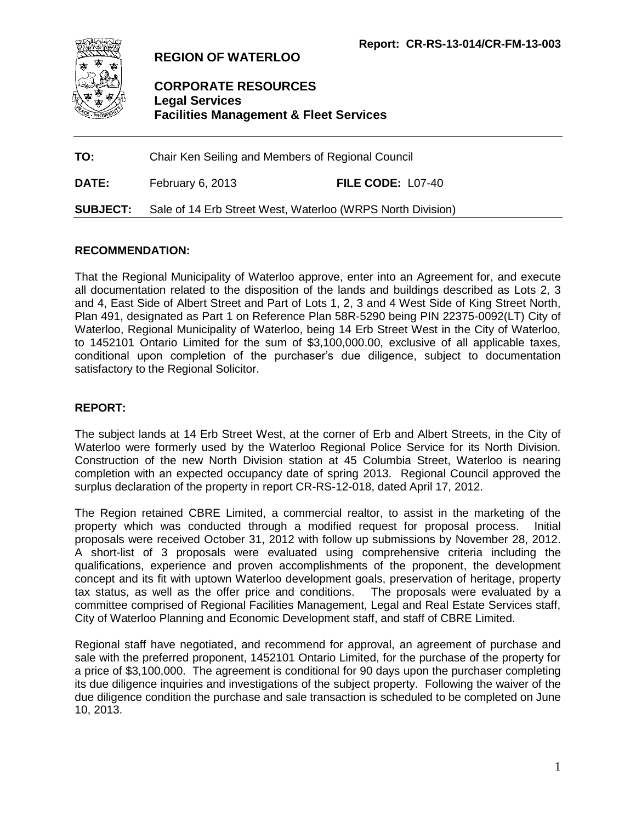<span id="page-13-0"></span>

**REGION OF WATERLOO**

## **CORPORATE RESOURCES Legal Services Facilities Management & Fleet Services**

**TO:** Chair Ken Seiling and Members of Regional Council

**DATE:** February 6, 2013 **FILE CODE:** L07-40

**SUBJECT:** Sale of 14 Erb Street West, Waterloo (WRPS North Division)

### **RECOMMENDATION:**

That the Regional Municipality of Waterloo approve, enter into an Agreement for, and execute all documentation related to the disposition of the lands and buildings described as Lots 2, 3 and 4, East Side of Albert Street and Part of Lots 1, 2, 3 and 4 West Side of King Street North, Plan 491, designated as Part 1 on Reference Plan 58R-5290 being PIN 22375-0092(LT) City of Waterloo, Regional Municipality of Waterloo, being 14 Erb Street West in the City of Waterloo, to 1452101 Ontario Limited for the sum of \$3,100,000.00, exclusive of all applicable taxes, conditional upon completion of the purchaser's due diligence, subject to documentation satisfactory to the Regional Solicitor.

### **REPORT:**

The subject lands at 14 Erb Street West, at the corner of Erb and Albert Streets, in the City of Waterloo were formerly used by the Waterloo Regional Police Service for its North Division. Construction of the new North Division station at 45 Columbia Street, Waterloo is nearing completion with an expected occupancy date of spring 2013. Regional Council approved the surplus declaration of the property in report CR-RS-12-018, dated April 17, 2012.

The Region retained CBRE Limited, a commercial realtor, to assist in the marketing of the property which was conducted through a modified request for proposal process. Initial proposals were received October 31, 2012 with follow up submissions by November 28, 2012. A short-list of 3 proposals were evaluated using comprehensive criteria including the qualifications, experience and proven accomplishments of the proponent, the development concept and its fit with uptown Waterloo development goals, preservation of heritage, property tax status, as well as the offer price and conditions. The proposals were evaluated by a committee comprised of Regional Facilities Management, Legal and Real Estate Services staff, City of Waterloo Planning and Economic Development staff, and staff of CBRE Limited.

Regional staff have negotiated, and recommend for approval, an agreement of purchase and sale with the preferred proponent, 1452101 Ontario Limited, for the purchase of the property for a price of \$3,100,000. The agreement is conditional for 90 days upon the purchaser completing its due diligence inquiries and investigations of the subject property. Following the waiver of the due diligence condition the purchase and sale transaction is scheduled to be completed on June 10, 2013.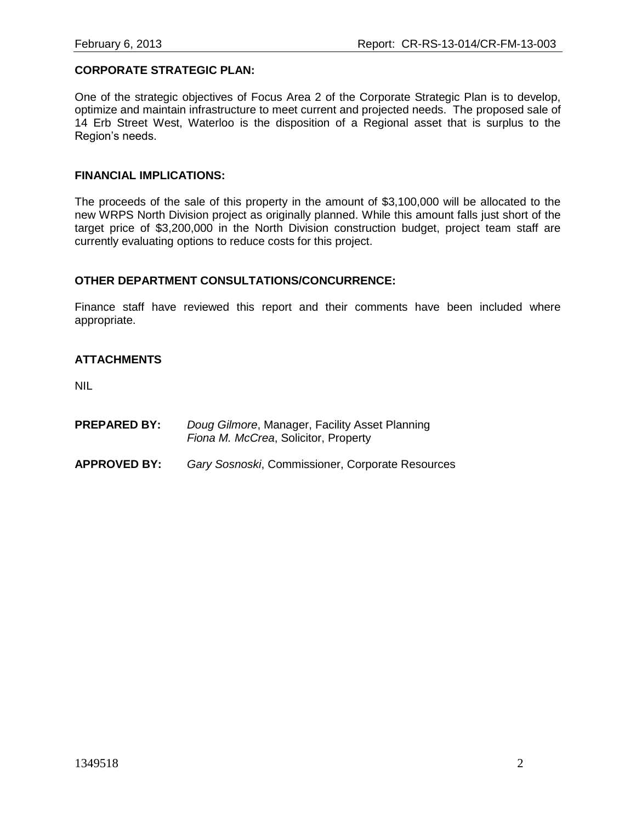#### **CORPORATE STRATEGIC PLAN:**

One of the strategic objectives of Focus Area 2 of the Corporate Strategic Plan is to develop, optimize and maintain infrastructure to meet current and projected needs. The proposed sale of 14 Erb Street West, Waterloo is the disposition of a Regional asset that is surplus to the Region's needs.

#### **FINANCIAL IMPLICATIONS:**

The proceeds of the sale of this property in the amount of \$3,100,000 will be allocated to the new WRPS North Division project as originally planned. While this amount falls just short of the target price of \$3,200,000 in the North Division construction budget, project team staff are currently evaluating options to reduce costs for this project.

#### **OTHER DEPARTMENT CONSULTATIONS/CONCURRENCE:**

Finance staff have reviewed this report and their comments have been included where appropriate.

### **ATTACHMENTS**

NIL

- **PREPARED BY:** *Doug Gilmore*, Manager, Facility Asset Planning *Fiona M. McCrea*, Solicitor, Property
- **APPROVED BY:** *Gary Sosnoski*, Commissioner, Corporate Resources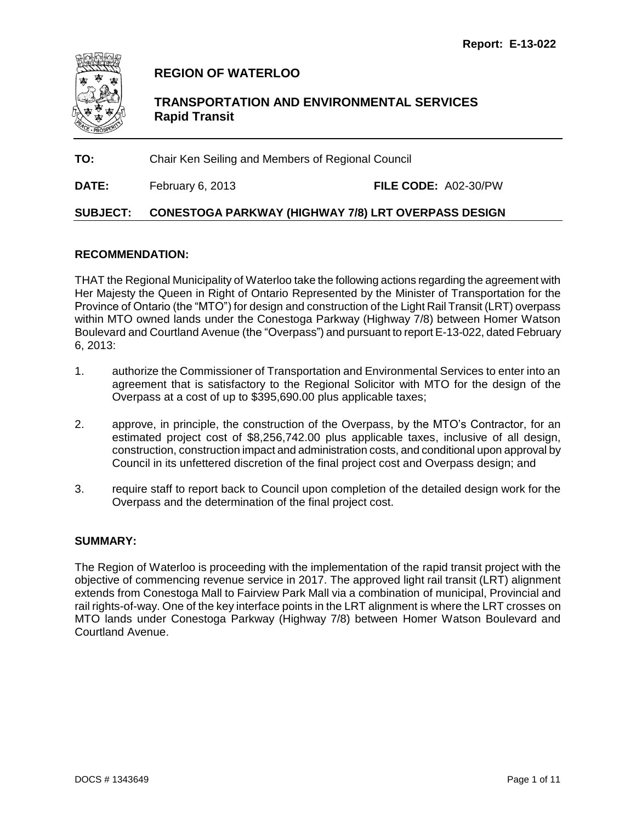<span id="page-15-0"></span>

**REGION OF WATERLOO**

**TRANSPORTATION AND ENVIRONMENTAL SERVICES Rapid Transit**

**TO:** Chair Ken Seiling and Members of Regional Council

**DATE:** February 6, 2013 **FILE CODE:** A02-30/PW

## **SUBJECT: CONESTOGA PARKWAY (HIGHWAY 7/8) LRT OVERPASS DESIGN**

### **RECOMMENDATION:**

THAT the Regional Municipality of Waterloo take the following actions regarding the agreement with Her Majesty the Queen in Right of Ontario Represented by the Minister of Transportation for the Province of Ontario (the "MTO") for design and construction of the Light Rail Transit (LRT) overpass within MTO owned lands under the Conestoga Parkway (Highway 7/8) between Homer Watson Boulevard and Courtland Avenue (the "Overpass") and pursuant to report E-13-022, dated February 6, 2013:

- 1. authorize the Commissioner of Transportation and Environmental Services to enter into an agreement that is satisfactory to the Regional Solicitor with MTO for the design of the Overpass at a cost of up to \$395,690.00 plus applicable taxes;
- 2. approve, in principle, the construction of the Overpass, by the MTO's Contractor, for an estimated project cost of \$8,256,742.00 plus applicable taxes, inclusive of all design, construction, construction impact and administration costs, and conditional upon approval by Council in its unfettered discretion of the final project cost and Overpass design; and
- 3. require staff to report back to Council upon completion of the detailed design work for the Overpass and the determination of the final project cost.

### **SUMMARY:**

The Region of Waterloo is proceeding with the implementation of the rapid transit project with the objective of commencing revenue service in 2017. The approved light rail transit (LRT) alignment extends from Conestoga Mall to Fairview Park Mall via a combination of municipal, Provincial and rail rights-of-way. One of the key interface points in the LRT alignment is where the LRT crosses on MTO lands under Conestoga Parkway (Highway 7/8) between Homer Watson Boulevard and Courtland Avenue.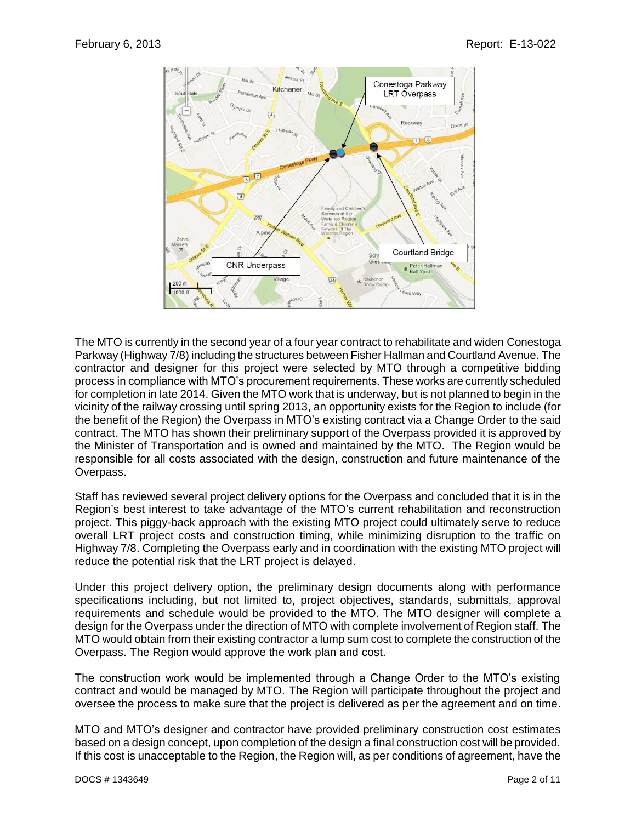

The MTO is currently in the second year of a four year contract to rehabilitate and widen Conestoga Parkway (Highway 7/8) including the structures between Fisher Hallman and Courtland Avenue. The contractor and designer for this project were selected by MTO through a competitive bidding process in compliance with MTO's procurement requirements. These works are currently scheduled for completion in late 2014. Given the MTO work that is underway, but is not planned to begin in the vicinity of the railway crossing until spring 2013, an opportunity exists for the Region to include (for the benefit of the Region) the Overpass in MTO's existing contract via a Change Order to the said contract. The MTO has shown their preliminary support of the Overpass provided it is approved by the Minister of Transportation and is owned and maintained by the MTO. The Region would be responsible for all costs associated with the design, construction and future maintenance of the Overpass.

Staff has reviewed several project delivery options for the Overpass and concluded that it is in the Region's best interest to take advantage of the MTO's current rehabilitation and reconstruction project. This piggy-back approach with the existing MTO project could ultimately serve to reduce overall LRT project costs and construction timing, while minimizing disruption to the traffic on Highway 7/8. Completing the Overpass early and in coordination with the existing MTO project will reduce the potential risk that the LRT project is delayed.

Under this project delivery option, the preliminary design documents along with performance specifications including, but not limited to, project objectives, standards, submittals, approval requirements and schedule would be provided to the MTO. The MTO designer will complete a design for the Overpass under the direction of MTO with complete involvement of Region staff. The MTO would obtain from their existing contractor a lump sum cost to complete the construction of the Overpass. The Region would approve the work plan and cost.

The construction work would be implemented through a Change Order to the MTO's existing contract and would be managed by MTO. The Region will participate throughout the project and oversee the process to make sure that the project is delivered as per the agreement and on time.

MTO and MTO's designer and contractor have provided preliminary construction cost estimates based on a design concept, upon completion of the design a final construction cost will be provided. If this cost is unacceptable to the Region, the Region will, as per conditions of agreement, have the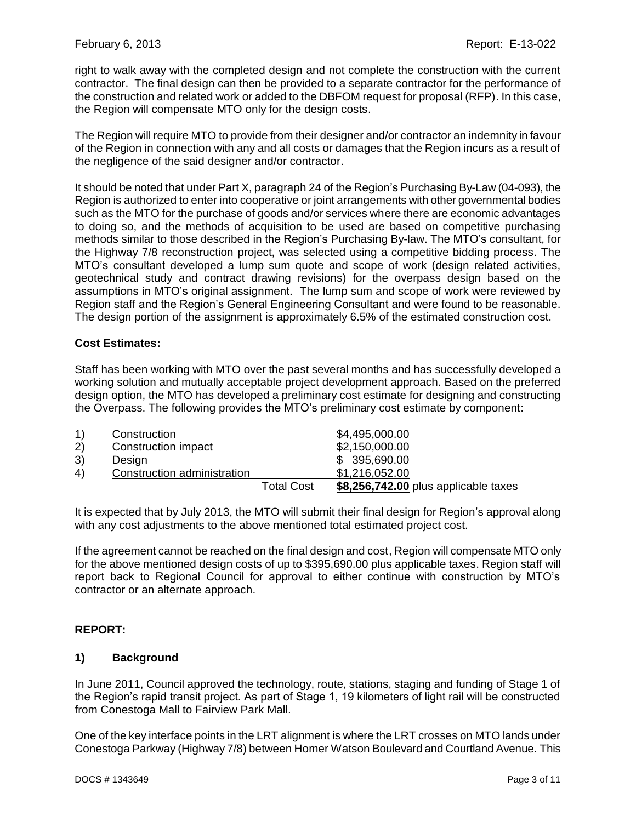right to walk away with the completed design and not complete the construction with the current contractor. The final design can then be provided to a separate contractor for the performance of the construction and related work or added to the DBFOM request for proposal (RFP). In this case, the Region will compensate MTO only for the design costs.

The Region will require MTO to provide from their designer and/or contractor an indemnity in favour of the Region in connection with any and all costs or damages that the Region incurs as a result of the negligence of the said designer and/or contractor.

It should be noted that under Part X, paragraph 24 of the Region's Purchasing By-Law (04-093), the Region is authorized to enter into cooperative or joint arrangements with other governmental bodies such as the MTO for the purchase of goods and/or services where there are economic advantages to doing so, and the methods of acquisition to be used are based on competitive purchasing methods similar to those described in the Region's Purchasing By-law. The MTO's consultant, for the Highway 7/8 reconstruction project, was selected using a competitive bidding process. The MTO's consultant developed a lump sum quote and scope of work (design related activities, geotechnical study and contract drawing revisions) for the overpass design based on the assumptions in MTO's original assignment. The lump sum and scope of work were reviewed by Region staff and the Region's General Engineering Consultant and were found to be reasonable. The design portion of the assignment is approximately 6.5% of the estimated construction cost.

### **Cost Estimates:**

Staff has been working with MTO over the past several months and has successfully developed a working solution and mutually acceptable project development approach. Based on the preferred design option, the MTO has developed a preliminary cost estimate for designing and constructing the Overpass. The following provides the MTO's preliminary cost estimate by component:

| 1) | Construction                |                   | \$4,495,000.00                       |
|----|-----------------------------|-------------------|--------------------------------------|
| 2) | Construction impact         |                   | \$2,150,000.00                       |
| 3) | Design                      |                   | \$395,690.00                         |
| 4) | Construction administration |                   | \$1,216,052.00                       |
|    |                             | <b>Total Cost</b> | \$8,256,742.00 plus applicable taxes |

It is expected that by July 2013, the MTO will submit their final design for Region's approval along with any cost adjustments to the above mentioned total estimated project cost.

If the agreement cannot be reached on the final design and cost, Region will compensate MTO only for the above mentioned design costs of up to \$395,690.00 plus applicable taxes. Region staff will report back to Regional Council for approval to either continue with construction by MTO's contractor or an alternate approach.

### **REPORT:**

#### **1) Background**

In June 2011, Council approved the technology, route, stations, staging and funding of Stage 1 of the Region's rapid transit project. As part of Stage 1, 19 kilometers of light rail will be constructed from Conestoga Mall to Fairview Park Mall.

One of the key interface points in the LRT alignment is where the LRT crosses on MTO lands under Conestoga Parkway (Highway 7/8) between Homer Watson Boulevard and Courtland Avenue. This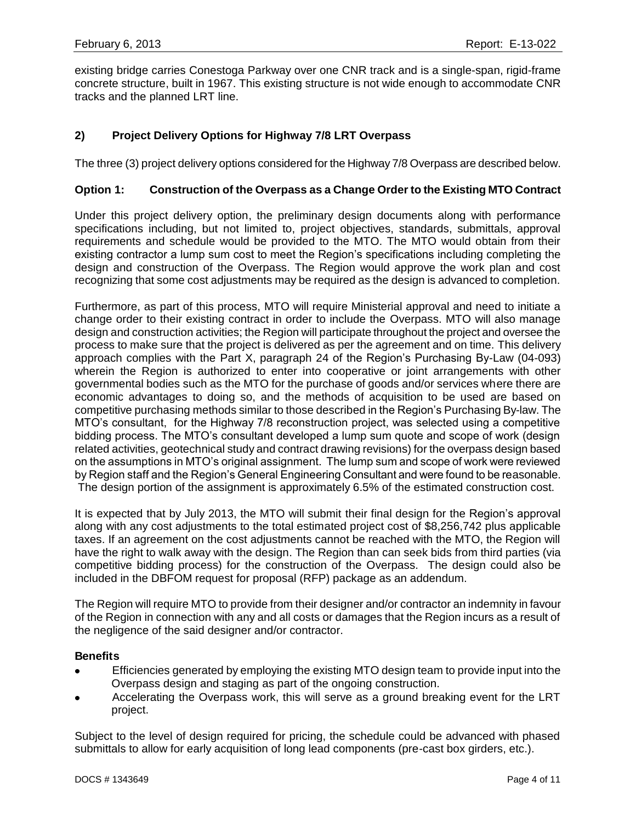existing bridge carries Conestoga Parkway over one CNR track and is a single-span, rigid-frame concrete structure, built in 1967. This existing structure is not wide enough to accommodate CNR tracks and the planned LRT line.

### **2) Project Delivery Options for Highway 7/8 LRT Overpass**

The three (3) project delivery options considered for the Highway 7/8 Overpass are described below.

#### **Option 1: Construction of the Overpass as a Change Order to the Existing MTO Contract**

Under this project delivery option, the preliminary design documents along with performance specifications including, but not limited to, project objectives, standards, submittals, approval requirements and schedule would be provided to the MTO. The MTO would obtain from their existing contractor a lump sum cost to meet the Region's specifications including completing the design and construction of the Overpass. The Region would approve the work plan and cost recognizing that some cost adjustments may be required as the design is advanced to completion.

Furthermore, as part of this process, MTO will require Ministerial approval and need to initiate a change order to their existing contract in order to include the Overpass. MTO will also manage design and construction activities; the Region will participate throughout the project and oversee the process to make sure that the project is delivered as per the agreement and on time. This delivery approach complies with the Part X, paragraph 24 of the Region's Purchasing By-Law (04-093) wherein the Region is authorized to enter into cooperative or joint arrangements with other governmental bodies such as the MTO for the purchase of goods and/or services where there are economic advantages to doing so, and the methods of acquisition to be used are based on competitive purchasing methods similar to those described in the Region's Purchasing By-law. The MTO's consultant, for the Highway 7/8 reconstruction project, was selected using a competitive bidding process. The MTO's consultant developed a lump sum quote and scope of work (design related activities, geotechnical study and contract drawing revisions) for the overpass design based on the assumptions in MTO's original assignment. The lump sum and scope of work were reviewed by Region staff and the Region's General Engineering Consultant and were found to be reasonable. The design portion of the assignment is approximately 6.5% of the estimated construction cost.

It is expected that by July 2013, the MTO will submit their final design for the Region's approval along with any cost adjustments to the total estimated project cost of \$8,256,742 plus applicable taxes. If an agreement on the cost adjustments cannot be reached with the MTO, the Region will have the right to walk away with the design. The Region than can seek bids from third parties (via competitive bidding process) for the construction of the Overpass. The design could also be included in the DBFOM request for proposal (RFP) package as an addendum.

The Region will require MTO to provide from their designer and/or contractor an indemnity in favour of the Region in connection with any and all costs or damages that the Region incurs as a result of the negligence of the said designer and/or contractor.

#### **Benefits**

- Efficiencies generated by employing the existing MTO design team to provide input into the  $\bullet$ Overpass design and staging as part of the ongoing construction.
- Accelerating the Overpass work, this will serve as a ground breaking event for the LRT  $\bullet$ project.

Subject to the level of design required for pricing, the schedule could be advanced with phased submittals to allow for early acquisition of long lead components (pre-cast box girders, etc.).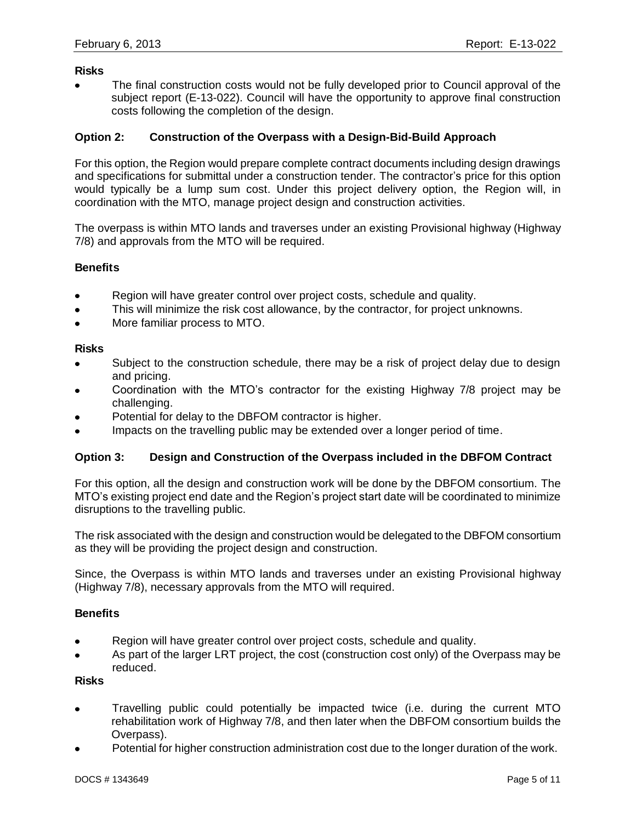#### **Risks**

The final construction costs would not be fully developed prior to Council approval of the subject report (E-13-022). Council will have the opportunity to approve final construction costs following the completion of the design.

#### **Option 2: Construction of the Overpass with a Design-Bid-Build Approach**

For this option, the Region would prepare complete contract documents including design drawings and specifications for submittal under a construction tender. The contractor's price for this option would typically be a lump sum cost. Under this project delivery option, the Region will, in coordination with the MTO, manage project design and construction activities.

The overpass is within MTO lands and traverses under an existing Provisional highway (Highway 7/8) and approvals from the MTO will be required.

#### **Benefits**

- Region will have greater control over project costs, schedule and quality.
- This will minimize the risk cost allowance, by the contractor, for project unknowns.
- More familiar process to MTO.  $\bullet$

#### **Risks**

- Subject to the construction schedule, there may be a risk of project delay due to design and pricing.
- Coordination with the MTO's contractor for the existing Highway 7/8 project may be  $\bullet$ challenging.
- Potential for delay to the DBFOM contractor is higher.
- Impacts on the travelling public may be extended over a longer period of time.

#### **Option 3: Design and Construction of the Overpass included in the DBFOM Contract**

For this option, all the design and construction work will be done by the DBFOM consortium. The MTO's existing project end date and the Region's project start date will be coordinated to minimize disruptions to the travelling public.

The risk associated with the design and construction would be delegated to the DBFOM consortium as they will be providing the project design and construction.

Since, the Overpass is within MTO lands and traverses under an existing Provisional highway (Highway 7/8), necessary approvals from the MTO will required.

#### **Benefits**

- Region will have greater control over project costs, schedule and quality.
- As part of the larger LRT project, the cost (construction cost only) of the Overpass may be reduced.

### **Risks**

- Travelling public could potentially be impacted twice (i.e. during the current MTO  $\bullet$ rehabilitation work of Highway 7/8, and then later when the DBFOM consortium builds the Overpass).
- Potential for higher construction administration cost due to the longer duration of the work.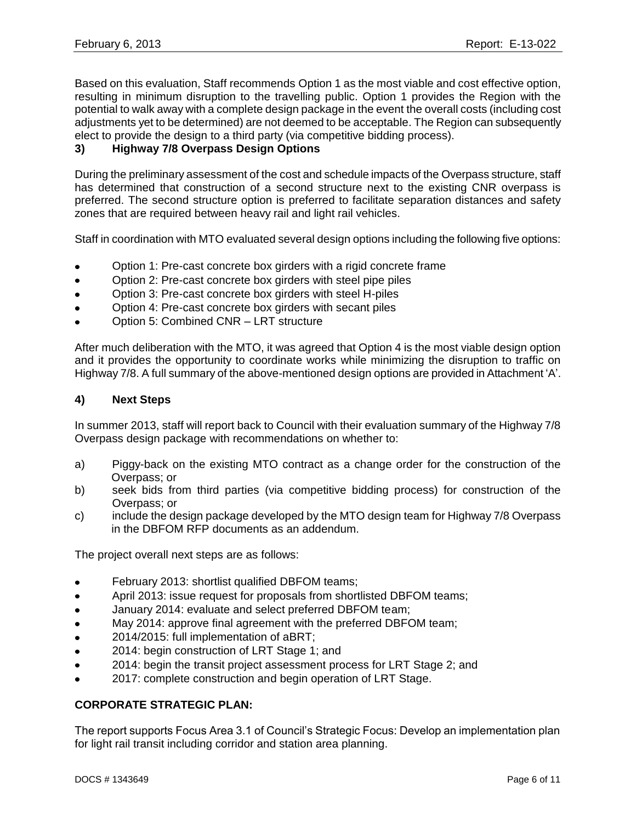Based on this evaluation, Staff recommends Option 1 as the most viable and cost effective option, resulting in minimum disruption to the travelling public. Option 1 provides the Region with the potential to walk away with a complete design package in the event the overall costs (including cost adjustments yet to be determined) are not deemed to be acceptable. The Region can subsequently elect to provide the design to a third party (via competitive bidding process).

### **3) Highway 7/8 Overpass Design Options**

During the preliminary assessment of the cost and schedule impacts of the Overpass structure, staff has determined that construction of a second structure next to the existing CNR overpass is preferred. The second structure option is preferred to facilitate separation distances and safety zones that are required between heavy rail and light rail vehicles.

Staff in coordination with MTO evaluated several design options including the following five options:

- Option 1: Pre-cast concrete box girders with a rigid concrete frame
- Option 2: Pre-cast concrete box girders with steel pipe piles  $\bullet$
- Option 3: Pre-cast concrete box girders with steel H-piles
- Option 4: Pre-cast concrete box girders with secant piles  $\bullet$
- Option 5: Combined CNR LRT structure  $\bullet$

After much deliberation with the MTO, it was agreed that Option 4 is the most viable design option and it provides the opportunity to coordinate works while minimizing the disruption to traffic on Highway 7/8. A full summary of the above-mentioned design options are provided in Attachment 'A'.

#### **4) Next Steps**

In summer 2013, staff will report back to Council with their evaluation summary of the Highway 7/8 Overpass design package with recommendations on whether to:

- a) Piggy-back on the existing MTO contract as a change order for the construction of the Overpass; or
- b) seek bids from third parties (via competitive bidding process) for construction of the Overpass; or
- c) include the design package developed by the MTO design team for Highway 7/8 Overpass in the DBFOM RFP documents as an addendum.

The project overall next steps are as follows:

- February 2013: shortlist qualified DBFOM teams;
- April 2013: issue request for proposals from shortlisted DBFOM teams;  $\bullet$
- January 2014: evaluate and select preferred DBFOM team;  $\bullet$
- May 2014: approve final agreement with the preferred DBFOM team;  $\bullet$
- 2014/2015: full implementation of aBRT;  $\bullet$
- 2014: begin construction of LRT Stage 1; and  $\bullet$
- 2014: begin the transit project assessment process for LRT Stage 2; and  $\bullet$
- 2017: complete construction and begin operation of LRT Stage.

#### **CORPORATE STRATEGIC PLAN:**

The report supports Focus Area 3.1 of Council's Strategic Focus: Develop an implementation plan for light rail transit including corridor and station area planning.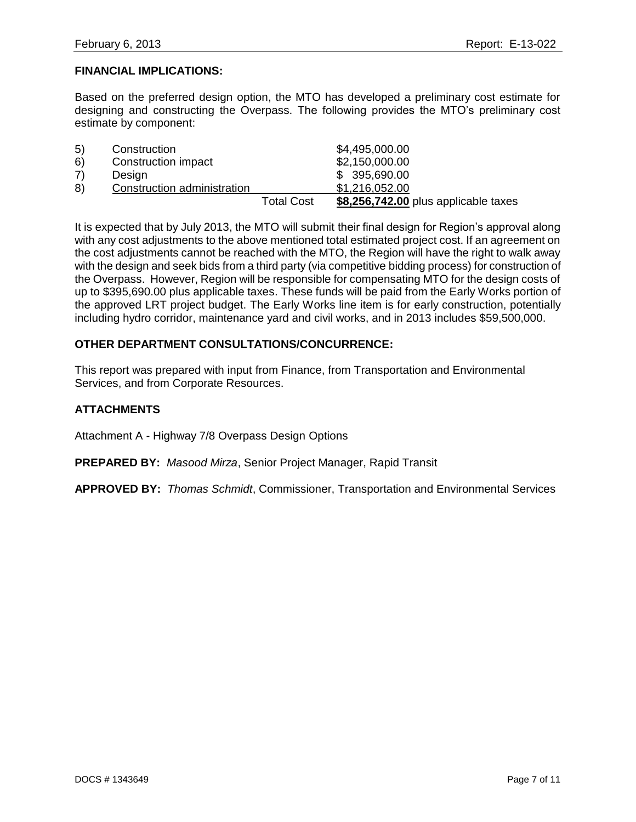### **FINANCIAL IMPLICATIONS:**

Based on the preferred design option, the MTO has developed a preliminary cost estimate for designing and constructing the Overpass. The following provides the MTO's preliminary cost estimate by component:

| 5) | Construction                |                   | \$4,495,000.00                       |  |
|----|-----------------------------|-------------------|--------------------------------------|--|
| 6) | Construction impact         |                   | \$2,150,000.00                       |  |
| 7) | Design                      |                   | \$395,690.00                         |  |
| 8) | Construction administration |                   | \$1,216,052.00                       |  |
|    |                             | <b>Total Cost</b> | \$8,256,742.00 plus applicable taxes |  |

It is expected that by July 2013, the MTO will submit their final design for Region's approval along with any cost adjustments to the above mentioned total estimated project cost. If an agreement on the cost adjustments cannot be reached with the MTO, the Region will have the right to walk away with the design and seek bids from a third party (via competitive bidding process) for construction of the Overpass. However, Region will be responsible for compensating MTO for the design costs of up to \$395,690.00 plus applicable taxes. These funds will be paid from the Early Works portion of the approved LRT project budget. The Early Works line item is for early construction, potentially including hydro corridor, maintenance yard and civil works, and in 2013 includes \$59,500,000.

### **OTHER DEPARTMENT CONSULTATIONS/CONCURRENCE:**

This report was prepared with input from Finance, from Transportation and Environmental Services, and from Corporate Resources.

### **ATTACHMENTS**

Attachment A - Highway 7/8 Overpass Design Options

**PREPARED BY:** *Masood Mirza*, Senior Project Manager, Rapid Transit

**APPROVED BY:** *Thomas Schmidt*, Commissioner, Transportation and Environmental Services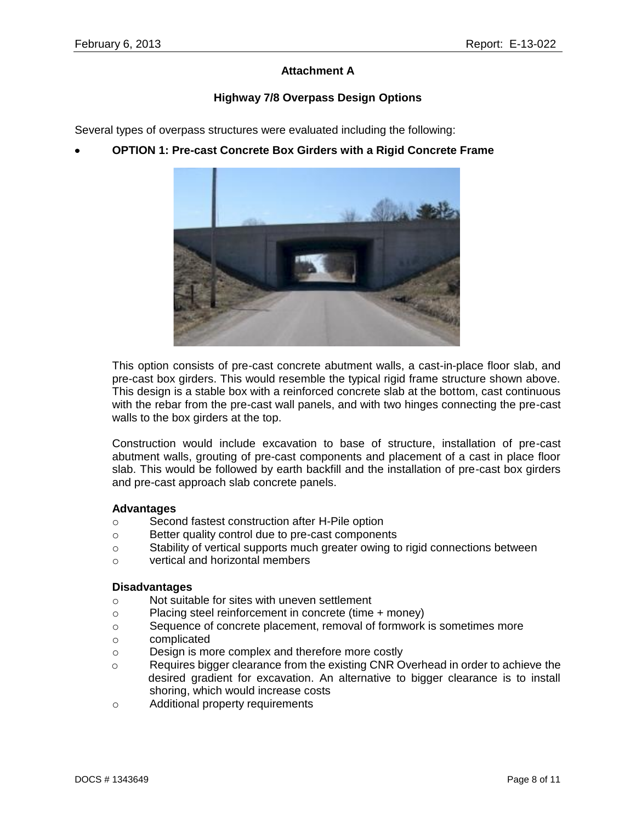### **Attachment A**

### **Highway 7/8 Overpass Design Options**

Several types of overpass structures were evaluated including the following:

**OPTION 1: Pre-cast Concrete Box Girders with a Rigid Concrete Frame**



This option consists of pre-cast concrete abutment walls, a cast-in-place floor slab, and pre-cast box girders. This would resemble the typical rigid frame structure shown above. This design is a stable box with a reinforced concrete slab at the bottom, cast continuous with the rebar from the pre-cast wall panels, and with two hinges connecting the pre-cast walls to the box girders at the top.

Construction would include excavation to base of structure, installation of pre-cast abutment walls, grouting of pre-cast components and placement of a cast in place floor slab. This would be followed by earth backfill and the installation of pre-cast box girders and pre-cast approach slab concrete panels.

#### **Advantages**

- o Second fastest construction after H-Pile option
- o Better quality control due to pre-cast components
- o Stability of vertical supports much greater owing to rigid connections between
- o vertical and horizontal members

### **Disadvantages**

- o Not suitable for sites with uneven settlement
- o Placing steel reinforcement in concrete (time + money)
- o Sequence of concrete placement, removal of formwork is sometimes more
- o complicated
- o Design is more complex and therefore more costly
- $\circ$  Requires bigger clearance from the existing CNR Overhead in order to achieve the desired gradient for excavation. An alternative to bigger clearance is to install shoring, which would increase costs
- o Additional property requirements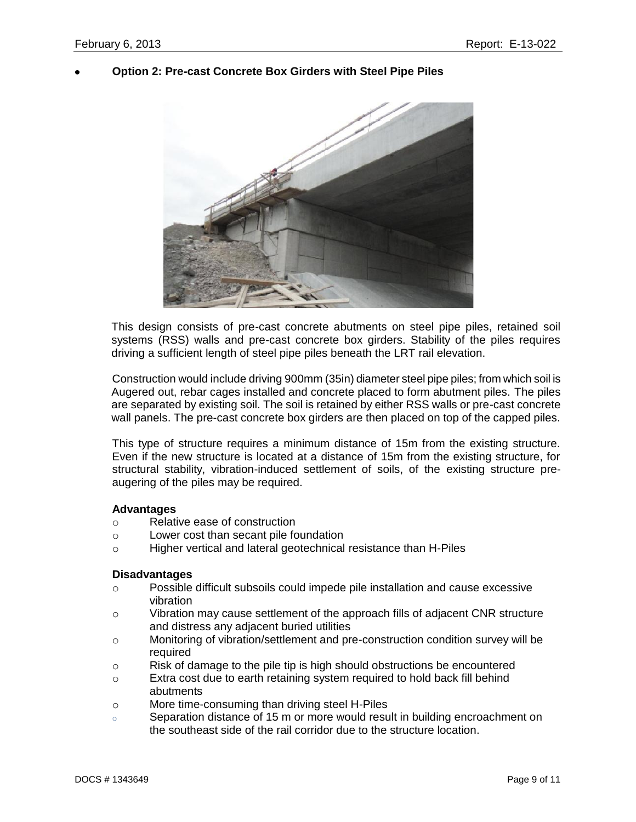### **Option 2: Pre-cast Concrete Box Girders with Steel Pipe Piles**



This design consists of pre-cast concrete abutments on steel pipe piles, retained soil systems (RSS) walls and pre-cast concrete box girders. Stability of the piles requires driving a sufficient length of steel pipe piles beneath the LRT rail elevation.

Construction would include driving 900mm (35in) diameter steel pipe piles; from which soil is Augered out, rebar cages installed and concrete placed to form abutment piles. The piles are separated by existing soil. The soil is retained by either RSS walls or pre-cast concrete wall panels. The pre-cast concrete box girders are then placed on top of the capped piles.

This type of structure requires a minimum distance of 15m from the existing structure. Even if the new structure is located at a distance of 15m from the existing structure, for structural stability, vibration-induced settlement of soils, of the existing structure preaugering of the piles may be required.

#### **Advantages**

- o Relative ease of construction
- o Lower cost than secant pile foundation
- o Higher vertical and lateral geotechnical resistance than H-Piles

#### **Disadvantages**

- o Possible difficult subsoils could impede pile installation and cause excessive vibration
- o Vibration may cause settlement of the approach fills of adjacent CNR structure and distress any adjacent buried utilities
- o Monitoring of vibration/settlement and pre-construction condition survey will be required
- $\circ$  Risk of damage to the pile tip is high should obstructions be encountered
- o Extra cost due to earth retaining system required to hold back fill behind abutments
- o More time-consuming than driving steel H-Piles
- o Separation distance of 15 m or more would result in building encroachment on the southeast side of the rail corridor due to the structure location.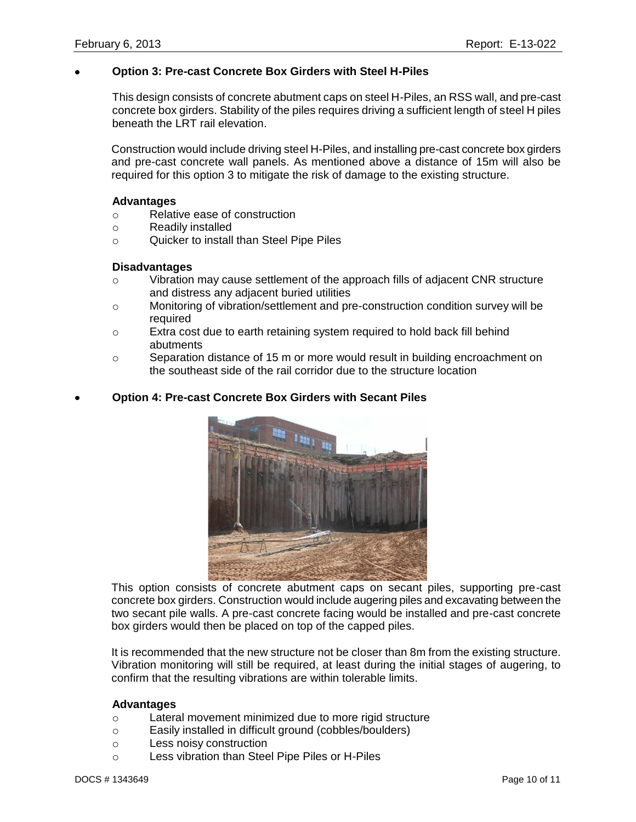#### **Option 3: Pre-cast Concrete Box Girders with Steel H-Piles**

This design consists of concrete abutment caps on steel H-Piles, an RSS wall, and pre-cast concrete box girders. Stability of the piles requires driving a sufficient length of steel H piles beneath the LRT rail elevation.

Construction would include driving steel H-Piles, and installing pre-cast concrete box girders and pre-cast concrete wall panels. As mentioned above a distance of 15m will also be required for this option 3 to mitigate the risk of damage to the existing structure.

#### **Advantages**

- o Relative ease of construction
- o Readily installed
- o Quicker to install than Steel Pipe Piles

#### **Disadvantages**

- $\circ$  Vibration may cause settlement of the approach fills of adjacent CNR structure and distress any adjacent buried utilities
- o Monitoring of vibration/settlement and pre-construction condition survey will be required
- o Extra cost due to earth retaining system required to hold back fill behind abutments
- o Separation distance of 15 m or more would result in building encroachment on the southeast side of the rail corridor due to the structure location

#### **Option 4: Pre-cast Concrete Box Girders with Secant Piles**



This option consists of concrete abutment caps on secant piles, supporting pre-cast concrete box girders. Construction would include augering piles and excavating between the two secant pile walls. A pre-cast concrete facing would be installed and pre-cast concrete box girders would then be placed on top of the capped piles.

It is recommended that the new structure not be closer than 8m from the existing structure. Vibration monitoring will still be required, at least during the initial stages of augering, to confirm that the resulting vibrations are within tolerable limits.

#### **Advantages**

- o Lateral movement minimized due to more rigid structure
- o Easily installed in difficult ground (cobbles/boulders)
- o Less noisy construction
- o Less vibration than Steel Pipe Piles or H-Piles